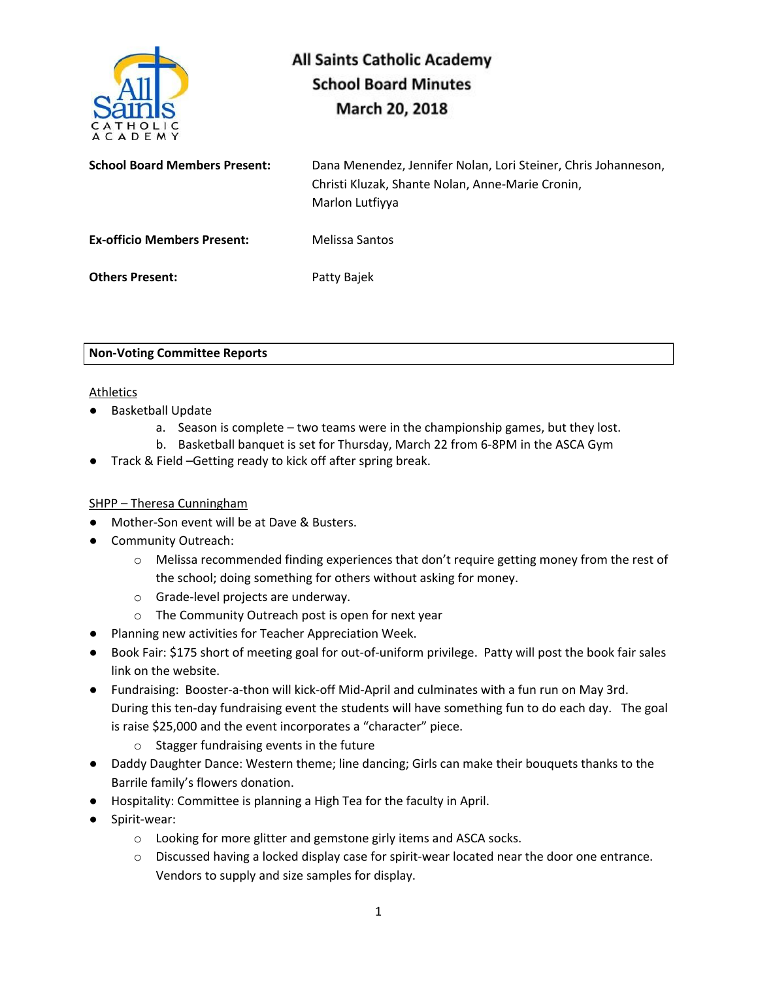

| <b>School Board Members Present:</b> | Dana Menendez, Jennifer Nolan, Lori Steiner, Chris Johanneson,<br>Christi Kluzak, Shante Nolan, Anne-Marie Cronin,<br>Marlon Lutfiyya |
|--------------------------------------|---------------------------------------------------------------------------------------------------------------------------------------|
| <b>Ex-officio Members Present:</b>   | Melissa Santos                                                                                                                        |
| <b>Others Present:</b>               | Patty Bajek                                                                                                                           |

## **Non-Voting Committee Reports**

## Athletics

- Basketball Update
	- a. Season is complete two teams were in the championship games, but they lost.
	- b. Basketball banquet is set for Thursday, March 22 from 6-8PM in the ASCA Gym
- Track & Field –Getting ready to kick off after spring break.

## SHPP – Theresa Cunningham

- Mother-Son event will be at Dave & Busters.
- **Community Outreach:** 
	- $\circ$  Melissa recommended finding experiences that don't require getting money from the rest of the school; doing something for others without asking for money.
	- o Grade-level projects are underway.
	- o The Community Outreach post is open for next year
- Planning new activities for Teacher Appreciation Week.
- Book Fair: \$175 short of meeting goal for out-of-uniform privilege. Patty will post the book fair sales link on the website.
- Fundraising: Booster-a-thon will kick-off Mid-April and culminates with a fun run on May 3rd. During this ten-day fundraising event the students will have something fun to do each day. The goal is raise \$25,000 and the event incorporates a "character" piece.
	- o Stagger fundraising events in the future
- Daddy Daughter Dance: Western theme; line dancing; Girls can make their bouquets thanks to the Barrile family's flowers donation.
- Hospitality: Committee is planning a High Tea for the faculty in April.
- Spirit-wear:
	- o Looking for more glitter and gemstone girly items and ASCA socks.
	- o Discussed having a locked display case for spirit-wear located near the door one entrance. Vendors to supply and size samples for display.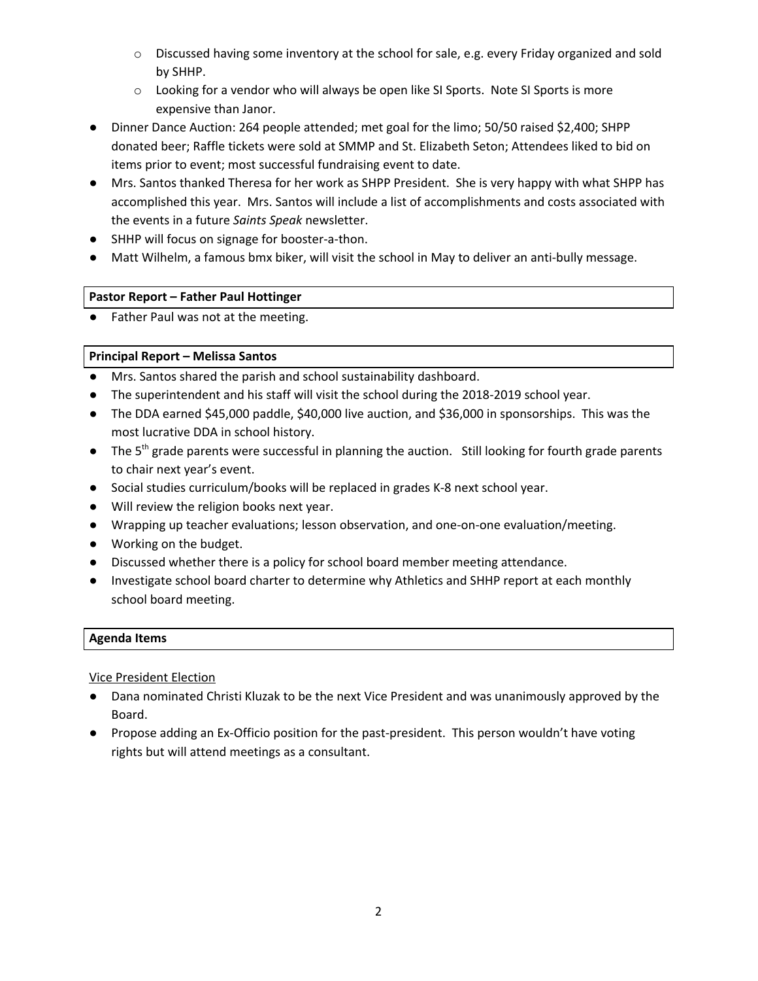- o Discussed having some inventory at the school for sale, e.g. every Friday organized and sold by SHHP.
- $\circ$  Looking for a vendor who will always be open like SI Sports. Note SI Sports is more expensive than Janor.
- Dinner Dance Auction: 264 people attended; met goal for the limo; 50/50 raised \$2,400; SHPP donated beer; Raffle tickets were sold at SMMP and St. Elizabeth Seton; Attendees liked to bid on items prior to event; most successful fundraising event to date.
- Mrs. Santos thanked Theresa for her work as SHPP President. She is very happy with what SHPP has accomplished this year. Mrs. Santos will include a list of accomplishments and costs associated with the events in a future *Saints Speak* newsletter.
- SHHP will focus on signage for booster-a-thon.
- Matt Wilhelm, a famous bmx biker, will visit the school in May to deliver an anti-bully message.

# **Pastor Report – Father Paul Hottinger**

● Father Paul was not at the meeting.

# **Principal Report – Melissa Santos**

- Mrs. Santos shared the parish and school sustainability dashboard.
- The superintendent and his staff will visit the school during the 2018-2019 school year.
- The DDA earned \$45,000 paddle, \$40,000 live auction, and \$36,000 in sponsorships. This was the most lucrative DDA in school history.
- The 5<sup>th</sup> grade parents were successful in planning the auction. Still looking for fourth grade parents to chair next year's event.
- Social studies curriculum/books will be replaced in grades K-8 next school year.
- Will review the religion books next year.
- Wrapping up teacher evaluations; lesson observation, and one-on-one evaluation/meeting.
- Working on the budget.
- Discussed whether there is a policy for school board member meeting attendance.
- Investigate school board charter to determine why Athletics and SHHP report at each monthly school board meeting.

## **Agenda Items**

Vice President Election

- Dana nominated Christi Kluzak to be the next Vice President and was unanimously approved by the Board.
- Propose adding an Ex-Officio position for the past-president. This person wouldn't have voting rights but will attend meetings as a consultant.